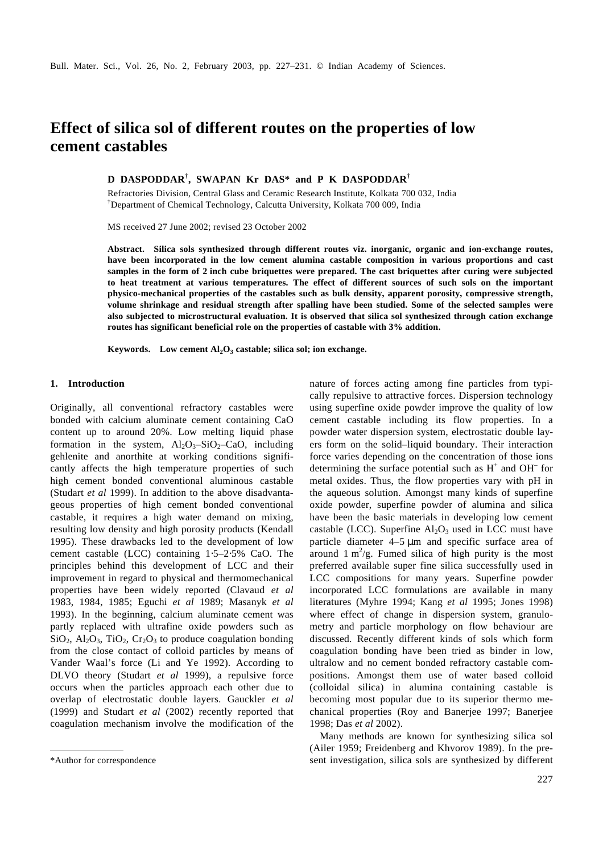# **Effect of silica sol of different routes on the properties of low cement castables**

**D DASPODDAR† , SWAPAN Kr DAS\* and P K DASPODDAR†**

Refractories Division, Central Glass and Ceramic Research Institute, Kolkata 700 032, India †Department of Chemical Technology, Calcutta University, Kolkata 700 009, India

MS received 27 June 2002; revised 23 October 2002

**Abstract. Silica sols synthesized through different routes viz. inorganic, organic and ion-exchange routes, have been incorporated in the low cement alumina castable composition in various proportions and cast samples in the form of 2 inch cube briquettes were prepared. The cast briquettes after curing were subjected to heat treatment at various temperatures. The effect of different sources of such sols on the important physico-mechanical properties of the castables such as bulk density, apparent porosity, compressive strength, volume shrinkage and residual strength after spalling have been studied. Some of the selected samples were also subjected to microstructural evaluation. It is observed that silica sol synthesized through cation exchange routes has significant beneficial role on the properties of castable with 3% addition.**

**Keywords. Low cement Al2O<sup>3</sup> castable; silica sol; ion exchange.**

## **1. Introduction**

Originally, all conventional refractory castables were bonded with calcium aluminate cement containing CaO content up to around 20%. Low melting liquid phase formation in the system,  $Al_2O_3-SiO_2-CaO$ , including gehlenite and anorthite at working conditions significantly affects the high temperature properties of such high cement bonded conventional aluminous castable (Studart *et al* 1999). In addition to the above disadvantageous properties of high cement bonded conventional castable, it requires a high water demand on mixing, resulting low density and high porosity products (Kendall 1995). These drawbacks led to the development of low cement castable (LCC) containing 1⋅5–2⋅5% CaO. The principles behind this development of LCC and their improvement in regard to physical and thermomechanical properties have been widely reported (Clavaud *et al* 1983, 1984, 1985; Eguchi *et al* 1989; Masanyk *et al* 1993). In the beginning, calcium aluminate cement was partly replaced with ultrafine oxide powders such as  $SiO_2$ ,  $Al_2O_3$ ,  $TiO_2$ ,  $Cr_2O_3$  to produce coagulation bonding from the close contact of colloid particles by means of Vander Waal's force (Li and Ye 1992). According to DLVO theory (Studart *et al* 1999), a repulsive force occurs when the particles approach each other due to overlap of electrostatic double layers. Gauckler *et al* (1999) and Studart *et al* (2002) recently reported that coagulation mechanism involve the modification of the

nature of forces acting among fine particles from typically repulsive to attractive forces. Dispersion technology using superfine oxide powder improve the quality of low cement castable including its flow properties. In a powder water dispersion system, electrostatic double layers form on the solid–liquid boundary. Their interaction force varies depending on the concentration of those ions determining the surface potential such as  $H^+$  and  $OH^-$  for metal oxides. Thus, the flow properties vary with pH in the aqueous solution. Amongst many kinds of superfine oxide powder, superfine powder of alumina and silica have been the basic materials in developing low cement castable (LCC). Superfine  $Al_2O_3$  used in LCC must have particle diameter 4–5 μm and specific surface area of around  $1 \text{ m}^2/\text{g}$ . Fumed silica of high purity is the most preferred available super fine silica successfully used in LCC compositions for many years. Superfine powder incorporated LCC formulations are available in many literatures (Myhre 1994; Kang *et al* 1995; Jones 1998) where effect of change in dispersion system, granulometry and particle morphology on flow behaviour are discussed. Recently different kinds of sols which form coagulation bonding have been tried as binder in low, ultralow and no cement bonded refractory castable compositions. Amongst them use of water based colloid (colloidal silica) in alumina containing castable is becoming most popular due to its superior thermo mechanical properties (Roy and Banerjee 1997; Banerjee 1998; Das *et al* 2002).

Many methods are known for synthesizing silica sol (Ailer 1959; Freidenberg and Khvorov 1989). In the pre- \*Author for correspondence sent investigation, silica sols are synthesized by different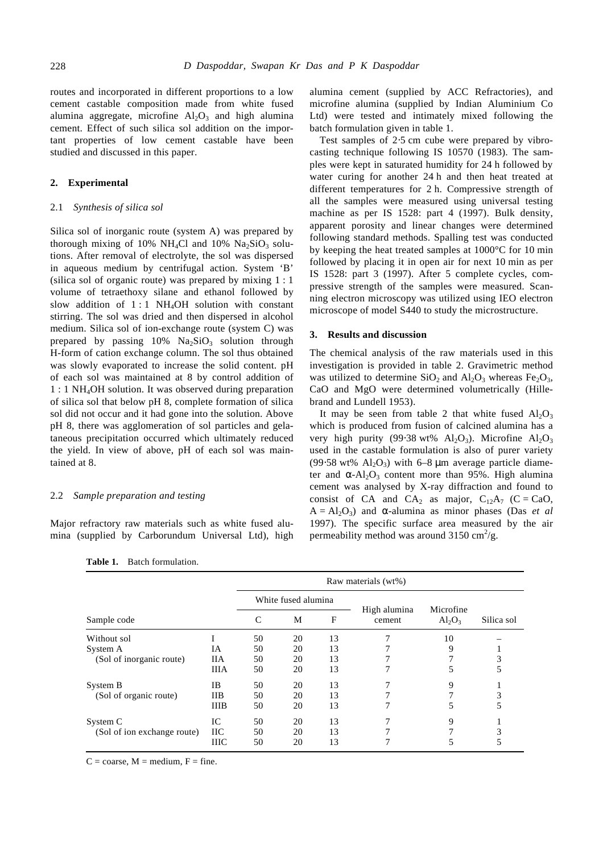routes and incorporated in different proportions to a low cement castable composition made from white fused alumina aggregate, microfine  $Al_2O_3$  and high alumina cement. Effect of such silica sol addition on the important properties of low cement castable have been studied and discussed in this paper.

# **2. Experimental**

## 2.1 *Synthesis of silica sol*

Silica sol of inorganic route (system A) was prepared by thorough mixing of 10% NH<sub>4</sub>Cl and 10% Na<sub>2</sub>SiO<sub>3</sub> solutions. After removal of electrolyte, the sol was dispersed in aqueous medium by centrifugal action. System 'B' (silica sol of organic route) was prepared by mixing 1 : 1 volume of tetraethoxy silane and ethanol followed by slow addition of  $1:1$  NH<sub>4</sub>OH solution with constant stirring. The sol was dried and then dispersed in alcohol medium. Silica sol of ion-exchange route (system C) was prepared by passing  $10\%$  Na<sub>2</sub>SiO<sub>3</sub> solution through H-form of cation exchange column. The sol thus obtained was slowly evaporated to increase the solid content. pH of each sol was maintained at 8 by control addition of 1 : 1 NH4OH solution. It was observed during preparation of silica sol that below pH 8, complete formation of silica sol did not occur and it had gone into the solution. Above pH 8, there was agglomeration of sol particles and gelataneous precipitation occurred which ultimately reduced the yield. In view of above, pH of each sol was maintained at 8.

#### 2.2 *Sample preparation and testing*

Major refractory raw materials such as white fused alumina (supplied by Carborundum Universal Ltd), high alumina cement (supplied by ACC Refractories), and microfine alumina (supplied by Indian Aluminium Co Ltd) were tested and intimately mixed following the batch formulation given in table 1.

Test samples of 2⋅5 cm cube were prepared by vibrocasting technique following IS 10570 (1983). The samples were kept in saturated humidity for 24 h followed by water curing for another 24 h and then heat treated at different temperatures for 2 h. Compressive strength of all the samples were measured using universal testing machine as per IS 1528: part 4 (1997). Bulk density, apparent porosity and linear changes were determined following standard methods. Spalling test was conducted by keeping the heat treated samples at 1000°C for 10 min followed by placing it in open air for next 10 min as per IS 1528: part 3 (1997). After 5 complete cycles, compressive strength of the samples were measured. Scanning electron microscopy was utilized using IEO electron microscope of model S440 to study the microstructure.

#### **3. Results and discussion**

The chemical analysis of the raw materials used in this investigation is provided in table 2. Gravimetric method was utilized to determine  $SiO<sub>2</sub>$  and  $Al<sub>2</sub>O<sub>3</sub>$ , whereas Fe<sub>2</sub>O<sub>3</sub>, CaO and MgO were determined volumetrically (Hillebrand and Lundell 1953).

It may be seen from table 2 that white fused  $Al_2O_3$ which is produced from fusion of calcined alumina has a very high purity (99⋅38 wt% Al<sub>2</sub>O<sub>3</sub>). Microfine Al<sub>2</sub>O<sub>3</sub> used in the castable formulation is also of purer variety (99⋅58 wt% Al<sub>2</sub>O<sub>3</sub>) with 6–8 µm average particle diameter and  $a - Al_2O_3$  content more than 95%. High alumina cement was analysed by X-ray diffraction and found to consist of CA and CA<sub>2</sub> as major,  $C_{12}A_7$  (C = CaO,  $A = A1<sub>2</sub>O<sub>3</sub>$  and **a**-alumina as minor phases (Das *et al*) 1997). The specific surface area measured by the air permeability method was around  $3150 \text{ cm}^2/\text{g}$ .

|                             |             | Raw materials (wt%) |    |    |                        |           |            |  |  |  |
|-----------------------------|-------------|---------------------|----|----|------------------------|-----------|------------|--|--|--|
|                             |             | White fused alumina |    |    |                        | Microfine |            |  |  |  |
| Sample code                 |             | C                   |    | F  | High alumina<br>cement | $Al_2O_3$ | Silica sol |  |  |  |
| Without sol                 |             | 50                  | 20 | 13 |                        | 10        |            |  |  |  |
| System A                    | IA          | 50                  | 20 | 13 |                        | 9         |            |  |  |  |
| (Sol of inorganic route)    | <b>IIA</b>  | 50                  | 20 | 13 |                        |           | 3          |  |  |  |
|                             | <b>IIIA</b> | 50                  | 20 | 13 |                        |           | 5          |  |  |  |
| System B                    | IB          | 50                  | 20 | 13 |                        | 9         |            |  |  |  |
| (Sol of organic route)      | <b>IIB</b>  | 50                  | 20 | 13 |                        | 7         | 3          |  |  |  |
|                             | <b>IIIB</b> | 50                  | 20 | 13 |                        |           | 5          |  |  |  |
| System C                    | IC          | 50                  | 20 | 13 |                        | 9         |            |  |  |  |
| (Sol of ion exchange route) | IIС         | 50                  | 20 | 13 |                        | 7         | 3          |  |  |  |
|                             | ШC          | 50                  | 20 | 13 |                        |           | 5          |  |  |  |

**Table 1.** Batch formulation.

 $C = \text{coarse}$ ,  $M = \text{medium}$ ,  $F = \text{fine}$ .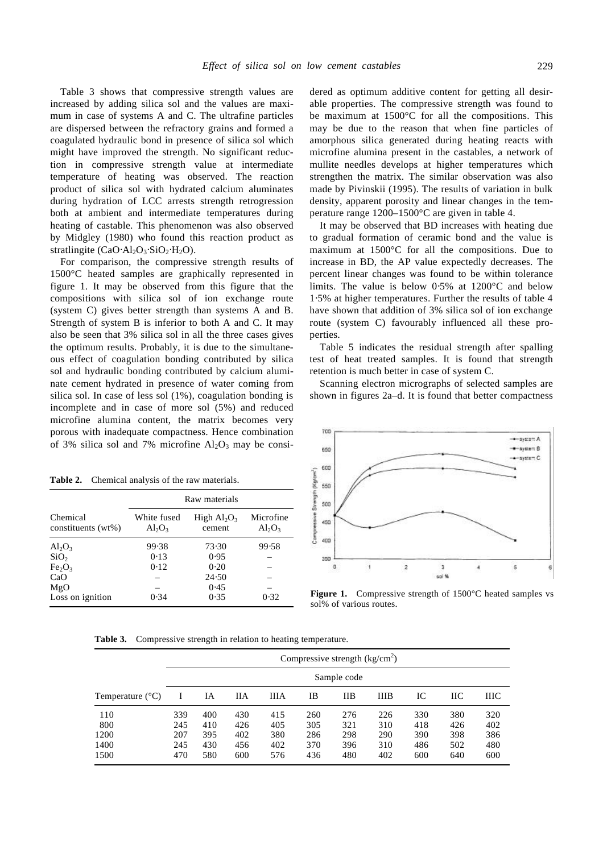Table 3 shows that compressive strength values are increased by adding silica sol and the values are maximum in case of systems A and C. The ultrafine particles are dispersed between the refractory grains and formed a coagulated hydraulic bond in presence of silica sol which might have improved the strength. No significant reduction in compressive strength value at intermediate temperature of heating was observed. The reaction product of silica sol with hydrated calcium aluminates during hydration of LCC arrests strength retrogression both at ambient and intermediate temperatures during heating of castable. This phenomenon was also observed by Midgley (1980) who found this reaction product as stratlingite (CaO⋅Al<sub>2</sub>O<sub>3</sub>⋅SiO<sub>2</sub>⋅H<sub>2</sub>O).

For comparison, the compressive strength results of 1500°C heated samples are graphically represented in figure 1. It may be observed from this figure that the compositions with silica sol of ion exchange route (system C) gives better strength than systems A and B. Strength of system B is inferior to both A and C. It may also be seen that 3% silica sol in all the three cases gives the optimum results. Probably, it is due to the simultaneous effect of coagulation bonding contributed by silica sol and hydraulic bonding contributed by calcium aluminate cement hydrated in presence of water coming from silica sol. In case of less sol (1%), coagulation bonding is incomplete and in case of more sol (5%) and reduced microfine alumina content, the matrix becomes very porous with inadequate compactness. Hence combination of 3% silica sol and 7% microfine  $Al_2O_3$  may be consi-

**Table 2.** Chemical analysis of the raw materials.

|                                | Raw materials            |                          |                        |  |  |  |  |  |
|--------------------------------|--------------------------|--------------------------|------------------------|--|--|--|--|--|
| Chemical<br>constituents (wt%) | White fused<br>$Al_2O_3$ | High $Al_2O_3$<br>cement | Microfine<br>$Al_2O_3$ |  |  |  |  |  |
| $Al_2O_3$                      | 99.38                    | 73.30                    | 99.58                  |  |  |  |  |  |
| SiO <sub>2</sub>               | 0.13                     | 0.95                     |                        |  |  |  |  |  |
| Fe <sub>2</sub> O <sub>3</sub> | 0.12                     | 0.20                     |                        |  |  |  |  |  |
| CaO                            |                          | 24.50                    |                        |  |  |  |  |  |
| MgO                            |                          | 0.45                     |                        |  |  |  |  |  |
| Loss on ignition               | 0.34                     | 0.35                     | 0.32                   |  |  |  |  |  |

dered as optimum additive content for getting all desirable properties. The compressive strength was found to be maximum at 1500°C for all the compositions. This may be due to the reason that when fine particles of amorphous silica generated during heating reacts with microfine alumina present in the castables, a network of mullite needles develops at higher temperatures which strengthen the matrix. The similar observation was also made by Pivinskii (1995). The results of variation in bulk density, apparent porosity and linear changes in the temperature range 1200–1500°C are given in table 4.

It may be observed that BD increases with heating due to gradual formation of ceramic bond and the value is maximum at 1500°C for all the compositions. Due to increase in BD, the AP value expectedly decreases. The percent linear changes was found to be within tolerance limits. The value is below 0⋅5% at 1200°C and below 1⋅5% at higher temperatures. Further the results of table 4 have shown that addition of 3% silica sol of ion exchange route (system C) favourably influenced all these properties.

Table 5 indicates the residual strength after spalling test of heat treated samples. It is found that strength retention is much better in case of system C.

Scanning electron micrographs of selected samples are shown in figures 2a–d. It is found that better compactness



**Figure 1.** Compressive strength of 1500°C heated samples vs sol% of various routes.

**Table 3.** Compressive strength in relation to heating temperature.

|                                    | Compressive strength $(kg/cm2)$ |                                 |                                 |                                 |                                 |                                 |                                 |                                 |                                 |                                 |  |  |
|------------------------------------|---------------------------------|---------------------------------|---------------------------------|---------------------------------|---------------------------------|---------------------------------|---------------------------------|---------------------------------|---------------------------------|---------------------------------|--|--|
|                                    |                                 | Sample code                     |                                 |                                 |                                 |                                 |                                 |                                 |                                 |                                 |  |  |
| Temperature $(^{\circ}C)$          |                                 | IA                              | ПA                              | ШA                              | IB                              | IІВ                             | <b>IIIB</b>                     | IС                              | IIС                             | ШC                              |  |  |
| 110<br>800<br>1200<br>1400<br>1500 | 339<br>245<br>207<br>245<br>470 | 400<br>410<br>395<br>430<br>580 | 430<br>426<br>402<br>456<br>600 | 415<br>405<br>380<br>402<br>576 | 260<br>305<br>286<br>370<br>436 | 276<br>321<br>298<br>396<br>480 | 226<br>310<br>290<br>310<br>402 | 330<br>418<br>390<br>486<br>600 | 380<br>426<br>398<br>502<br>640 | 320<br>402<br>386<br>480<br>600 |  |  |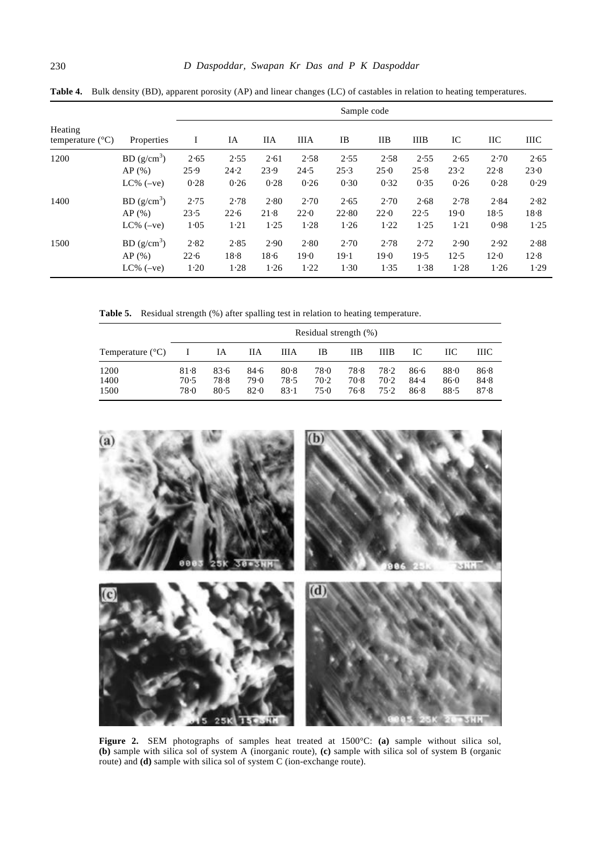| Heating<br>temperature $(^{\circ}C)$<br>Properties | Sample code             |      |      |      |             |       |      |             |      |            |             |
|----------------------------------------------------|-------------------------|------|------|------|-------------|-------|------|-------------|------|------------|-------------|
|                                                    |                         | I    | IA   | HА   | <b>IIIA</b> | IB    | IIВ  | <b>IIIB</b> | IC   | <b>IIC</b> | <b>IIIC</b> |
| 1200                                               | BD (g/cm <sup>3</sup> ) | 2.65 | 2.55 | 2.61 | 2.58        | 2.55  | 2.58 | 2.55        | 2.65 | 2.70       | 2.65        |
|                                                    | $AP($ % $)$             | 25.9 | 24.2 | 23.9 | 24.5        | 25.3  | 25.0 | 25.8        | 23.2 | 22.8       | 23.0        |
|                                                    | $LC\%$ (-ve)            | 0.28 | 0.26 | 0.28 | 0.26        | 0.30  | 0.32 | 0.35        | 0.26 | 0.28       | 0.29        |
| 1400                                               | BD (g/cm <sup>3</sup> ) | 2.75 | 2.78 | 2.80 | 2.70        | 2.65  | 2.70 | 2.68        | 2.78 | 2.84       | 2.82        |
|                                                    | $AP($ % $)$             | 23.5 | 22.6 | 21.8 | 22.0        | 22.80 | 22.0 | 22.5        | 19.0 | 18.5       | 18.8        |
|                                                    | $LC\%$ (-ve)            | 1.05 | 1.21 | 1.25 | 1.28        | 1.26  | 1.22 | 1.25        | 1.21 | 0.98       | 1.25        |
| 1500                                               | BD(g/cm <sup>3</sup> )  | 2.82 | 2.85 | 2.90 | 2.80        | 2.70  | 2.78 | 2.72        | 2.90 | 2.92       | 2.88        |
|                                                    | $AP($ % $)$             | 22.6 | 18.8 | 18.6 | 19.0        | 19.1  | 19.0 | 19.5        | 12.5 | 12.0       | 12.8        |
|                                                    | $LC\%$ (-ve)            | 1.20 | 1.28 | 1.26 | 1.22        | 1.30  | 1.35 | 1.38        | 1.28 | 1.26       | 1.29        |

**Table 4.** Bulk density (BD), apparent porosity (AP) and linear changes (LC) of castables in relation to heating temperatures.

Table 5. Residual strength (%) after spalling test in relation to heating temperature.

|                           | Residual strength $(\%)$ |                      |                      |                      |                      |                      |                        |                      |                      |                      |
|---------------------------|--------------------------|----------------------|----------------------|----------------------|----------------------|----------------------|------------------------|----------------------|----------------------|----------------------|
| Temperature $(^{\circ}C)$ |                          | IA                   | ПA                   | ШA                   | IB                   | IІB                  | ШB                     | IС                   | HС                   | ШС                   |
| 1200<br>1400<br>1500      | 81.8<br>70.5<br>78.0     | 83.6<br>78.8<br>80.5 | 84.6<br>79.0<br>82.0 | 80.8<br>78.5<br>83.1 | 78.0<br>70.2<br>75.0 | 78.8<br>70.8<br>76.8 | 78.2<br>$70-2$<br>75.2 | 86.6<br>84.4<br>86.8 | 88.0<br>86.0<br>88.5 | 86.8<br>84.8<br>87.8 |



**Figure 2.** SEM photographs of samples heat treated at 1500°C: **(a)** sample without silica sol, **(b)** sample with silica sol of system A (inorganic route), **(c)** sample with silica sol of system B (organic route) and **(d)** sample with silica sol of system C (ion-exchange route).